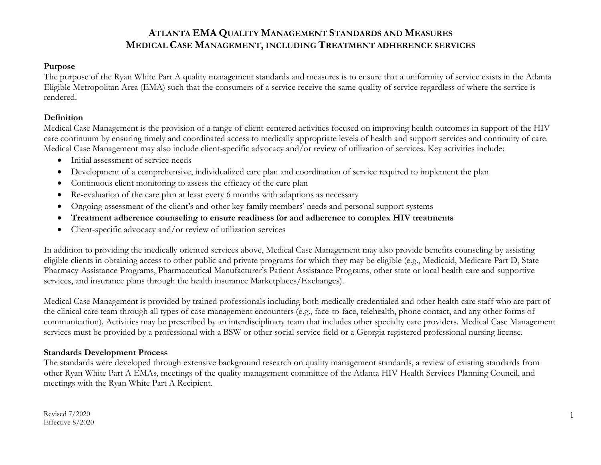#### **Purpose**

The purpose of the Ryan White Part A quality management standards and measures is to ensure that a uniformity of service exists in the Atlanta Eligible Metropolitan Area (EMA) such that the consumers of a service receive the same quality of service regardless of where the service is rendered.

### **Definition**

Medical Case Management is the provision of a range of client-centered activities focused on improving health outcomes in support of the HIV care continuum by ensuring timely and coordinated access to medically appropriate levels of health and support services and continuity of care. Medical Case Management may also include client-specific advocacy and/or review of utilization of services. Key activities include:

- Initial assessment of service needs
- Development of a comprehensive, individualized care plan and coordination of service required to implement the plan
- Continuous client monitoring to assess the efficacy of the care plan
- Re-evaluation of the care plan at least every 6 months with adaptions as necessary
- Ongoing assessment of the client's and other key family members' needs and personal support systems
- **Treatment adherence counseling to ensure readiness for and adherence to complex HIV treatments**
- Client-specific advocacy and/or review of utilization services

In addition to providing the medically oriented services above, Medical Case Management may also provide benefits counseling by assisting eligible clients in obtaining access to other public and private programs for which they may be eligible (e.g., Medicaid, Medicare Part D, State Pharmacy Assistance Programs, Pharmaceutical Manufacturer's Patient Assistance Programs, other state or local health care and supportive services, and insurance plans through the health insurance Marketplaces/Exchanges).

Medical Case Management is provided by trained professionals including both medically credentialed and other health care staff who are part of the clinical care team through all types of case management encounters (e.g., face-to-face, telehealth, phone contact, and any other forms of communication). Activities may be prescribed by an interdisciplinary team that includes other specialty care providers. Medical Case Management services must be provided by a professional with a BSW or other social service field or a Georgia registered professional nursing license.

### **Standards Development Process**

The standards were developed through extensive background research on quality management standards, a review of existing standards from other Ryan White Part A EMAs, meetings of the quality management committee of the Atlanta HIV Health Services Planning Council, and meetings with the Ryan White Part A Recipient.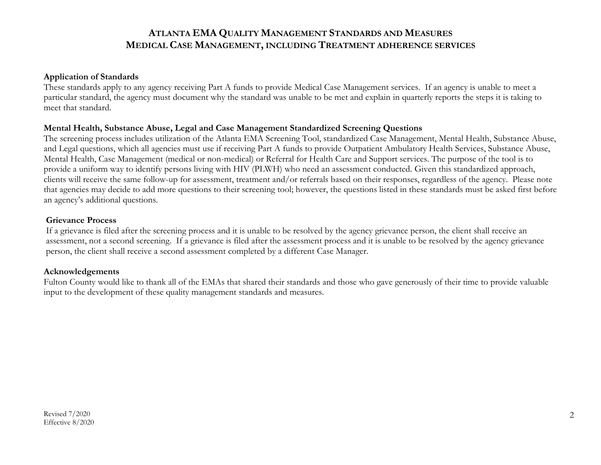#### **Application of Standards**

These standards apply to any agency receiving Part A funds to provide Medical Case Management services. If an agency is unable to meet a particular standard, the agency must document why the standard was unable to be met and explain in quarterly reports the steps it is taking to meet that standard.

#### **Mental Health, Substance Abuse, Legal and Case Management Standardized Screening Questions**

The screening process includes utilization of the Atlanta EMA Screening Tool, standardized Case Management, Mental Health, Substance Abuse, and Legal questions, which all agencies must use if receiving Part A funds to provide Outpatient Ambulatory Health Services, Substance Abuse, Mental Health, Case Management (medical or non-medical) or Referral for Health Care and Support services. The purpose of the tool is to provide a uniform way to identify persons living with HIV (PLWH) who need an assessment conducted. Given this standardized approach, clients will receive the same follow-up for assessment, treatment and/or referrals based on their responses, regardless of the agency. Please note that agencies may decide to add more questions to their screening tool; however, the questions listed in these standards must be asked first before an agency's additional questions.

#### **Grievance Process**

If a grievance is filed after the screening process and it is unable to be resolved by the agency grievance person, the client shall receive an assessment, not a second screening. If a grievance is filed after the assessment process and it is unable to be resolved by the agency grievance person, the client shall receive a second assessment completed by a different Case Manager.

#### **Acknowledgements**

Fulton County would like to thank all of the EMAs that shared their standards and those who gave generously of their time to provide valuable input to the development of these quality management standards and measures.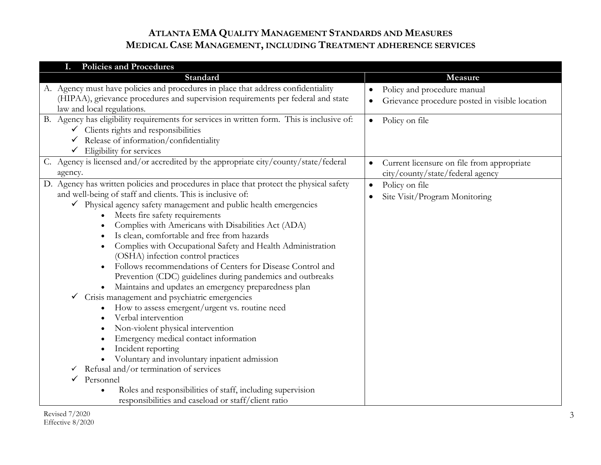| <b>Policies and Procedures</b><br>I.                                                                                                                                                                                                                                                                                                                                                                                                                                                                                                                                                                                                                                                                                                                                                                                                                                                                                                                                                                                                                                                                       |                                                                                                         |
|------------------------------------------------------------------------------------------------------------------------------------------------------------------------------------------------------------------------------------------------------------------------------------------------------------------------------------------------------------------------------------------------------------------------------------------------------------------------------------------------------------------------------------------------------------------------------------------------------------------------------------------------------------------------------------------------------------------------------------------------------------------------------------------------------------------------------------------------------------------------------------------------------------------------------------------------------------------------------------------------------------------------------------------------------------------------------------------------------------|---------------------------------------------------------------------------------------------------------|
| Standard                                                                                                                                                                                                                                                                                                                                                                                                                                                                                                                                                                                                                                                                                                                                                                                                                                                                                                                                                                                                                                                                                                   | Measure                                                                                                 |
| A. Agency must have policies and procedures in place that address confidentiality<br>(HIPAA), grievance procedures and supervision requirements per federal and state<br>law and local regulations.                                                                                                                                                                                                                                                                                                                                                                                                                                                                                                                                                                                                                                                                                                                                                                                                                                                                                                        | Policy and procedure manual<br>$\bullet$<br>Grievance procedure posted in visible location<br>$\bullet$ |
| B. Agency has eligibility requirements for services in written form. This is inclusive of:<br>$\checkmark$ Clients rights and responsibilities<br>$\checkmark$ Release of information/confidentiality<br>Eligibility for services<br>$\checkmark$                                                                                                                                                                                                                                                                                                                                                                                                                                                                                                                                                                                                                                                                                                                                                                                                                                                          | Policy on file<br>$\bullet$                                                                             |
| C. Agency is licensed and/or accredited by the appropriate city/county/state/federal<br>agency.                                                                                                                                                                                                                                                                                                                                                                                                                                                                                                                                                                                                                                                                                                                                                                                                                                                                                                                                                                                                            | Current licensure on file from appropriate<br>$\bullet$<br>city/county/state/federal agency             |
| D. Agency has written policies and procedures in place that protect the physical safety<br>and well-being of staff and clients. This is inclusive of:<br>$\checkmark$ Physical agency safety management and public health emergencies<br>Meets fire safety requirements<br>Complies with Americans with Disabilities Act (ADA)<br>Is clean, comfortable and free from hazards<br>Complies with Occupational Safety and Health Administration<br>(OSHA) infection control practices<br>Follows recommendations of Centers for Disease Control and<br>Prevention (CDC) guidelines during pandemics and outbreaks<br>Maintains and updates an emergency preparedness plan<br>Crisis management and psychiatric emergencies<br>$\checkmark$<br>How to assess emergent/urgent vs. routine need<br>Verbal intervention<br>Non-violent physical intervention<br>Emergency medical contact information<br>Incident reporting<br>Voluntary and involuntary inpatient admission<br>Refusal and/or termination of services<br>Personnel<br>$\checkmark$<br>Roles and responsibilities of staff, including supervision | Policy on file<br>$\bullet$<br>Site Visit/Program Monitoring<br>$\bullet$                               |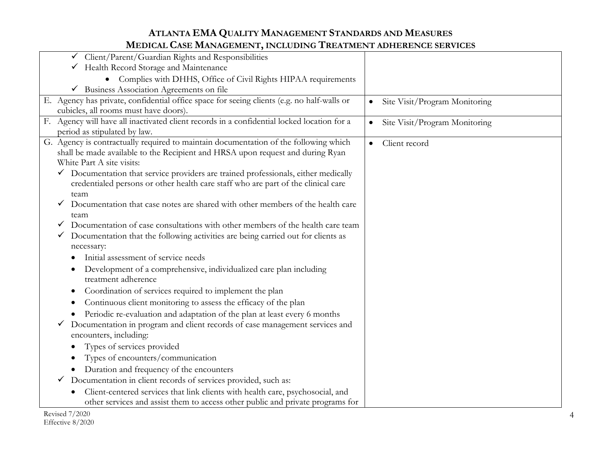| horond once ham incentently involved in the andministration convention                                                                                                             |                                            |
|------------------------------------------------------------------------------------------------------------------------------------------------------------------------------------|--------------------------------------------|
| $\checkmark$ Client/Parent/Guardian Rights and Responsibilities                                                                                                                    |                                            |
| Health Record Storage and Maintenance                                                                                                                                              |                                            |
| Complies with DHHS, Office of Civil Rights HIPAA requirements                                                                                                                      |                                            |
| Business Association Agreements on file<br>$\checkmark$                                                                                                                            |                                            |
| E. Agency has private, confidential office space for seeing clients (e.g. no half-walls or                                                                                         | Site Visit/Program Monitoring<br>$\bullet$ |
| cubicles, all rooms must have doors).                                                                                                                                              |                                            |
| F. Agency will have all inactivated client records in a confidential locked location for a                                                                                         | Site Visit/Program Monitoring<br>$\bullet$ |
| period as stipulated by law.                                                                                                                                                       |                                            |
| G. Agency is contractually required to maintain documentation of the following which                                                                                               | Client record<br>$\bullet$                 |
| shall be made available to the Recipient and HRSA upon request and during Ryan                                                                                                     |                                            |
| White Part A site visits:                                                                                                                                                          |                                            |
| $\checkmark$ Documentation that service providers are trained professionals, either medically<br>credentialed persons or other health care staff who are part of the clinical care |                                            |
| team                                                                                                                                                                               |                                            |
| Documentation that case notes are shared with other members of the health care                                                                                                     |                                            |
| team                                                                                                                                                                               |                                            |
| Documentation of case consultations with other members of the health care team<br>v                                                                                                |                                            |
| Documentation that the following activities are being carried out for clients as<br>$\checkmark$                                                                                   |                                            |
| necessary:                                                                                                                                                                         |                                            |
| Initial assessment of service needs                                                                                                                                                |                                            |
| Development of a comprehensive, individualized care plan including<br>٠                                                                                                            |                                            |
| treatment adherence                                                                                                                                                                |                                            |
| Coordination of services required to implement the plan<br>€                                                                                                                       |                                            |
| Continuous client monitoring to assess the efficacy of the plan<br>€                                                                                                               |                                            |
| Periodic re-evaluation and adaptation of the plan at least every 6 months                                                                                                          |                                            |
| Documentation in program and client records of case management services and                                                                                                        |                                            |
| encounters, including:                                                                                                                                                             |                                            |
| Types of services provided                                                                                                                                                         |                                            |
| Types of encounters/communication                                                                                                                                                  |                                            |
| Duration and frequency of the encounters                                                                                                                                           |                                            |
| Documentation in client records of services provided, such as:<br>v.                                                                                                               |                                            |
| Client-centered services that link clients with health care, psychosocial, and                                                                                                     |                                            |
| other services and assist them to access other public and private programs for                                                                                                     |                                            |
|                                                                                                                                                                                    |                                            |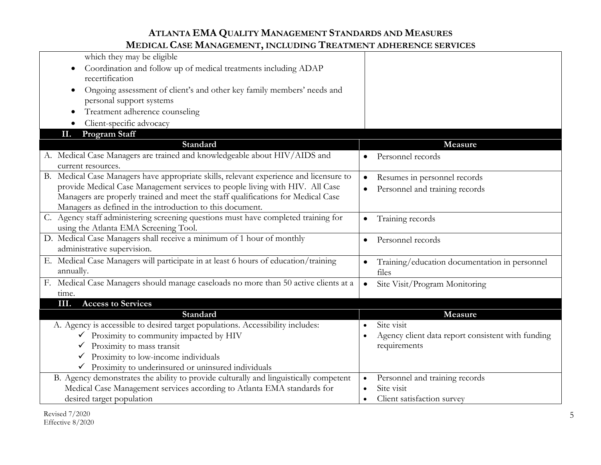| Coordination and follow up of medical treatments including ADAP<br>recertification<br>Ongoing assessment of client's and other key family members' needs and<br>$\bullet$<br>personal support systems<br>Treatment adherence counseling<br>Client-specific advocacy<br><b>Program Staff</b><br>П.<br>Standard<br>Measure<br>A. Medical Case Managers are trained and knowledgeable about HIV/AIDS and<br>Personnel records<br>$\bullet$<br>current resources.<br>B. Medical Case Managers have appropriate skills, relevant experience and licensure to<br>Resumes in personnel records<br>$\bullet$<br>provide Medical Case Management services to people living with HIV. All Case<br>Personnel and training records<br>Managers are properly trained and meet the staff qualifications for Medical Case<br>Managers as defined in the introduction to this document.<br>C. Agency staff administering screening questions must have completed training for<br>Training records<br>$\bullet$<br>using the Atlanta EMA Screening Tool.<br>D. Medical Case Managers shall receive a minimum of 1 hour of monthly<br>Personnel records<br>$\bullet$<br>administrative supervision.<br>E. Medical Case Managers will participate in at least 6 hours of education/training<br>Training/education documentation in personnel<br>annually.<br>files<br>F. Medical Case Managers should manage caseloads no more than 50 active clients at a<br>Site Visit/Program Monitoring<br>time.<br><b>Access to Services</b><br>ШІ.<br><b>Standard</b><br>Measure<br>A. Agency is accessible to desired target populations. Accessibility includes:<br>Site visit<br>$\checkmark$ Proximity to community impacted by HIV<br>Agency client data report consistent with funding<br>$\bullet$<br>requirements<br>Proximity to mass transit<br>Proximity to low-income individuals<br>Proximity to underinsured or uninsured individuals<br>B. Agency demonstrates the ability to provide culturally and linguistically competent<br>Personnel and training records<br>$\bullet$<br>Medical Case Management services according to Atlanta EMA standards for<br>Site visit<br>desired target population<br>Client satisfaction survey<br>$\bullet$ |                            |  |
|---------------------------------------------------------------------------------------------------------------------------------------------------------------------------------------------------------------------------------------------------------------------------------------------------------------------------------------------------------------------------------------------------------------------------------------------------------------------------------------------------------------------------------------------------------------------------------------------------------------------------------------------------------------------------------------------------------------------------------------------------------------------------------------------------------------------------------------------------------------------------------------------------------------------------------------------------------------------------------------------------------------------------------------------------------------------------------------------------------------------------------------------------------------------------------------------------------------------------------------------------------------------------------------------------------------------------------------------------------------------------------------------------------------------------------------------------------------------------------------------------------------------------------------------------------------------------------------------------------------------------------------------------------------------------------------------------------------------------------------------------------------------------------------------------------------------------------------------------------------------------------------------------------------------------------------------------------------------------------------------------------------------------------------------------------------------------------------------------------------------------------------------------------------------------------------------------------------------------------|----------------------------|--|
|                                                                                                                                                                                                                                                                                                                                                                                                                                                                                                                                                                                                                                                                                                                                                                                                                                                                                                                                                                                                                                                                                                                                                                                                                                                                                                                                                                                                                                                                                                                                                                                                                                                                                                                                                                                                                                                                                                                                                                                                                                                                                                                                                                                                                                 | which they may be eligible |  |
|                                                                                                                                                                                                                                                                                                                                                                                                                                                                                                                                                                                                                                                                                                                                                                                                                                                                                                                                                                                                                                                                                                                                                                                                                                                                                                                                                                                                                                                                                                                                                                                                                                                                                                                                                                                                                                                                                                                                                                                                                                                                                                                                                                                                                                 |                            |  |
|                                                                                                                                                                                                                                                                                                                                                                                                                                                                                                                                                                                                                                                                                                                                                                                                                                                                                                                                                                                                                                                                                                                                                                                                                                                                                                                                                                                                                                                                                                                                                                                                                                                                                                                                                                                                                                                                                                                                                                                                                                                                                                                                                                                                                                 |                            |  |
|                                                                                                                                                                                                                                                                                                                                                                                                                                                                                                                                                                                                                                                                                                                                                                                                                                                                                                                                                                                                                                                                                                                                                                                                                                                                                                                                                                                                                                                                                                                                                                                                                                                                                                                                                                                                                                                                                                                                                                                                                                                                                                                                                                                                                                 |                            |  |
|                                                                                                                                                                                                                                                                                                                                                                                                                                                                                                                                                                                                                                                                                                                                                                                                                                                                                                                                                                                                                                                                                                                                                                                                                                                                                                                                                                                                                                                                                                                                                                                                                                                                                                                                                                                                                                                                                                                                                                                                                                                                                                                                                                                                                                 |                            |  |
|                                                                                                                                                                                                                                                                                                                                                                                                                                                                                                                                                                                                                                                                                                                                                                                                                                                                                                                                                                                                                                                                                                                                                                                                                                                                                                                                                                                                                                                                                                                                                                                                                                                                                                                                                                                                                                                                                                                                                                                                                                                                                                                                                                                                                                 |                            |  |
|                                                                                                                                                                                                                                                                                                                                                                                                                                                                                                                                                                                                                                                                                                                                                                                                                                                                                                                                                                                                                                                                                                                                                                                                                                                                                                                                                                                                                                                                                                                                                                                                                                                                                                                                                                                                                                                                                                                                                                                                                                                                                                                                                                                                                                 |                            |  |
|                                                                                                                                                                                                                                                                                                                                                                                                                                                                                                                                                                                                                                                                                                                                                                                                                                                                                                                                                                                                                                                                                                                                                                                                                                                                                                                                                                                                                                                                                                                                                                                                                                                                                                                                                                                                                                                                                                                                                                                                                                                                                                                                                                                                                                 |                            |  |
|                                                                                                                                                                                                                                                                                                                                                                                                                                                                                                                                                                                                                                                                                                                                                                                                                                                                                                                                                                                                                                                                                                                                                                                                                                                                                                                                                                                                                                                                                                                                                                                                                                                                                                                                                                                                                                                                                                                                                                                                                                                                                                                                                                                                                                 |                            |  |
|                                                                                                                                                                                                                                                                                                                                                                                                                                                                                                                                                                                                                                                                                                                                                                                                                                                                                                                                                                                                                                                                                                                                                                                                                                                                                                                                                                                                                                                                                                                                                                                                                                                                                                                                                                                                                                                                                                                                                                                                                                                                                                                                                                                                                                 |                            |  |
|                                                                                                                                                                                                                                                                                                                                                                                                                                                                                                                                                                                                                                                                                                                                                                                                                                                                                                                                                                                                                                                                                                                                                                                                                                                                                                                                                                                                                                                                                                                                                                                                                                                                                                                                                                                                                                                                                                                                                                                                                                                                                                                                                                                                                                 |                            |  |
|                                                                                                                                                                                                                                                                                                                                                                                                                                                                                                                                                                                                                                                                                                                                                                                                                                                                                                                                                                                                                                                                                                                                                                                                                                                                                                                                                                                                                                                                                                                                                                                                                                                                                                                                                                                                                                                                                                                                                                                                                                                                                                                                                                                                                                 |                            |  |
|                                                                                                                                                                                                                                                                                                                                                                                                                                                                                                                                                                                                                                                                                                                                                                                                                                                                                                                                                                                                                                                                                                                                                                                                                                                                                                                                                                                                                                                                                                                                                                                                                                                                                                                                                                                                                                                                                                                                                                                                                                                                                                                                                                                                                                 |                            |  |
|                                                                                                                                                                                                                                                                                                                                                                                                                                                                                                                                                                                                                                                                                                                                                                                                                                                                                                                                                                                                                                                                                                                                                                                                                                                                                                                                                                                                                                                                                                                                                                                                                                                                                                                                                                                                                                                                                                                                                                                                                                                                                                                                                                                                                                 |                            |  |
|                                                                                                                                                                                                                                                                                                                                                                                                                                                                                                                                                                                                                                                                                                                                                                                                                                                                                                                                                                                                                                                                                                                                                                                                                                                                                                                                                                                                                                                                                                                                                                                                                                                                                                                                                                                                                                                                                                                                                                                                                                                                                                                                                                                                                                 |                            |  |
|                                                                                                                                                                                                                                                                                                                                                                                                                                                                                                                                                                                                                                                                                                                                                                                                                                                                                                                                                                                                                                                                                                                                                                                                                                                                                                                                                                                                                                                                                                                                                                                                                                                                                                                                                                                                                                                                                                                                                                                                                                                                                                                                                                                                                                 |                            |  |
|                                                                                                                                                                                                                                                                                                                                                                                                                                                                                                                                                                                                                                                                                                                                                                                                                                                                                                                                                                                                                                                                                                                                                                                                                                                                                                                                                                                                                                                                                                                                                                                                                                                                                                                                                                                                                                                                                                                                                                                                                                                                                                                                                                                                                                 |                            |  |
|                                                                                                                                                                                                                                                                                                                                                                                                                                                                                                                                                                                                                                                                                                                                                                                                                                                                                                                                                                                                                                                                                                                                                                                                                                                                                                                                                                                                                                                                                                                                                                                                                                                                                                                                                                                                                                                                                                                                                                                                                                                                                                                                                                                                                                 |                            |  |
|                                                                                                                                                                                                                                                                                                                                                                                                                                                                                                                                                                                                                                                                                                                                                                                                                                                                                                                                                                                                                                                                                                                                                                                                                                                                                                                                                                                                                                                                                                                                                                                                                                                                                                                                                                                                                                                                                                                                                                                                                                                                                                                                                                                                                                 |                            |  |
|                                                                                                                                                                                                                                                                                                                                                                                                                                                                                                                                                                                                                                                                                                                                                                                                                                                                                                                                                                                                                                                                                                                                                                                                                                                                                                                                                                                                                                                                                                                                                                                                                                                                                                                                                                                                                                                                                                                                                                                                                                                                                                                                                                                                                                 |                            |  |
|                                                                                                                                                                                                                                                                                                                                                                                                                                                                                                                                                                                                                                                                                                                                                                                                                                                                                                                                                                                                                                                                                                                                                                                                                                                                                                                                                                                                                                                                                                                                                                                                                                                                                                                                                                                                                                                                                                                                                                                                                                                                                                                                                                                                                                 |                            |  |
|                                                                                                                                                                                                                                                                                                                                                                                                                                                                                                                                                                                                                                                                                                                                                                                                                                                                                                                                                                                                                                                                                                                                                                                                                                                                                                                                                                                                                                                                                                                                                                                                                                                                                                                                                                                                                                                                                                                                                                                                                                                                                                                                                                                                                                 |                            |  |
|                                                                                                                                                                                                                                                                                                                                                                                                                                                                                                                                                                                                                                                                                                                                                                                                                                                                                                                                                                                                                                                                                                                                                                                                                                                                                                                                                                                                                                                                                                                                                                                                                                                                                                                                                                                                                                                                                                                                                                                                                                                                                                                                                                                                                                 |                            |  |
|                                                                                                                                                                                                                                                                                                                                                                                                                                                                                                                                                                                                                                                                                                                                                                                                                                                                                                                                                                                                                                                                                                                                                                                                                                                                                                                                                                                                                                                                                                                                                                                                                                                                                                                                                                                                                                                                                                                                                                                                                                                                                                                                                                                                                                 |                            |  |
|                                                                                                                                                                                                                                                                                                                                                                                                                                                                                                                                                                                                                                                                                                                                                                                                                                                                                                                                                                                                                                                                                                                                                                                                                                                                                                                                                                                                                                                                                                                                                                                                                                                                                                                                                                                                                                                                                                                                                                                                                                                                                                                                                                                                                                 |                            |  |
|                                                                                                                                                                                                                                                                                                                                                                                                                                                                                                                                                                                                                                                                                                                                                                                                                                                                                                                                                                                                                                                                                                                                                                                                                                                                                                                                                                                                                                                                                                                                                                                                                                                                                                                                                                                                                                                                                                                                                                                                                                                                                                                                                                                                                                 |                            |  |
|                                                                                                                                                                                                                                                                                                                                                                                                                                                                                                                                                                                                                                                                                                                                                                                                                                                                                                                                                                                                                                                                                                                                                                                                                                                                                                                                                                                                                                                                                                                                                                                                                                                                                                                                                                                                                                                                                                                                                                                                                                                                                                                                                                                                                                 |                            |  |
|                                                                                                                                                                                                                                                                                                                                                                                                                                                                                                                                                                                                                                                                                                                                                                                                                                                                                                                                                                                                                                                                                                                                                                                                                                                                                                                                                                                                                                                                                                                                                                                                                                                                                                                                                                                                                                                                                                                                                                                                                                                                                                                                                                                                                                 |                            |  |
|                                                                                                                                                                                                                                                                                                                                                                                                                                                                                                                                                                                                                                                                                                                                                                                                                                                                                                                                                                                                                                                                                                                                                                                                                                                                                                                                                                                                                                                                                                                                                                                                                                                                                                                                                                                                                                                                                                                                                                                                                                                                                                                                                                                                                                 |                            |  |
|                                                                                                                                                                                                                                                                                                                                                                                                                                                                                                                                                                                                                                                                                                                                                                                                                                                                                                                                                                                                                                                                                                                                                                                                                                                                                                                                                                                                                                                                                                                                                                                                                                                                                                                                                                                                                                                                                                                                                                                                                                                                                                                                                                                                                                 |                            |  |
|                                                                                                                                                                                                                                                                                                                                                                                                                                                                                                                                                                                                                                                                                                                                                                                                                                                                                                                                                                                                                                                                                                                                                                                                                                                                                                                                                                                                                                                                                                                                                                                                                                                                                                                                                                                                                                                                                                                                                                                                                                                                                                                                                                                                                                 |                            |  |
|                                                                                                                                                                                                                                                                                                                                                                                                                                                                                                                                                                                                                                                                                                                                                                                                                                                                                                                                                                                                                                                                                                                                                                                                                                                                                                                                                                                                                                                                                                                                                                                                                                                                                                                                                                                                                                                                                                                                                                                                                                                                                                                                                                                                                                 |                            |  |
|                                                                                                                                                                                                                                                                                                                                                                                                                                                                                                                                                                                                                                                                                                                                                                                                                                                                                                                                                                                                                                                                                                                                                                                                                                                                                                                                                                                                                                                                                                                                                                                                                                                                                                                                                                                                                                                                                                                                                                                                                                                                                                                                                                                                                                 |                            |  |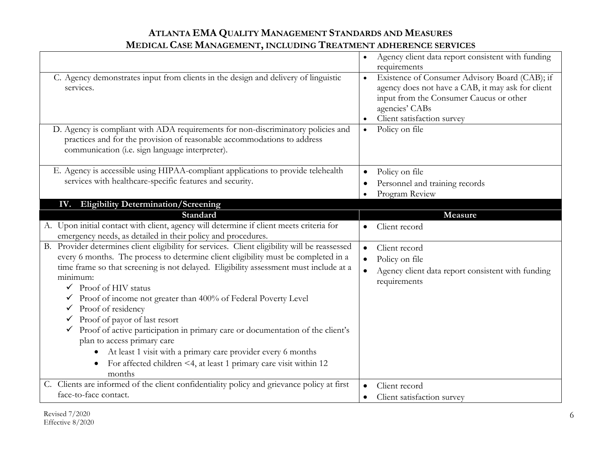| C. Agency demonstrates input from clients in the design and delivery of linguistic<br>services.<br>D. Agency is compliant with ADA requirements for non-discriminatory policies and<br>practices and for the provision of reasonable accommodations to address                                                                                                                                                                                                                                                                                                                                                                                                                                                                                                                  | Agency client data report consistent with funding<br>$\bullet$<br>requirements<br>Existence of Consumer Advisory Board (CAB); if<br>$\bullet$<br>agency does not have a CAB, it may ask for client<br>input from the Consumer Caucus or other<br>agencies' CABs<br>Client satisfaction survey<br>Policy on file<br>$\bullet$ |
|---------------------------------------------------------------------------------------------------------------------------------------------------------------------------------------------------------------------------------------------------------------------------------------------------------------------------------------------------------------------------------------------------------------------------------------------------------------------------------------------------------------------------------------------------------------------------------------------------------------------------------------------------------------------------------------------------------------------------------------------------------------------------------|------------------------------------------------------------------------------------------------------------------------------------------------------------------------------------------------------------------------------------------------------------------------------------------------------------------------------|
| communication (i.e. sign language interpreter).<br>E. Agency is accessible using HIPAA-compliant applications to provide telehealth                                                                                                                                                                                                                                                                                                                                                                                                                                                                                                                                                                                                                                             | Policy on file<br>$\bullet$                                                                                                                                                                                                                                                                                                  |
| services with healthcare-specific features and security.                                                                                                                                                                                                                                                                                                                                                                                                                                                                                                                                                                                                                                                                                                                        | Personnel and training records<br>$\bullet$<br>Program Review                                                                                                                                                                                                                                                                |
| IV. Eligibility Determination/Screening                                                                                                                                                                                                                                                                                                                                                                                                                                                                                                                                                                                                                                                                                                                                         |                                                                                                                                                                                                                                                                                                                              |
| Standard                                                                                                                                                                                                                                                                                                                                                                                                                                                                                                                                                                                                                                                                                                                                                                        | Measure                                                                                                                                                                                                                                                                                                                      |
| A. Upon initial contact with client, agency will determine if client meets criteria for<br>emergency needs, as detailed in their policy and procedures.                                                                                                                                                                                                                                                                                                                                                                                                                                                                                                                                                                                                                         | Client record<br>$\bullet$                                                                                                                                                                                                                                                                                                   |
| B. Provider determines client eligibility for services. Client eligibility will be reassessed<br>every 6 months. The process to determine client eligibility must be completed in a<br>time frame so that screening is not delayed. Eligibility assessment must include at a<br>minimum:<br>Proof of HIV status<br>$\checkmark$<br>$\checkmark$ Proof of income not greater than 400% of Federal Poverty Level<br>Proof of residency<br>$\checkmark$<br>Proof of payor of last resort<br>Proof of active participation in primary care or documentation of the client's<br>plan to access primary care<br>At least 1 visit with a primary care provider every 6 months<br>$\bullet$<br>For affected children <4, at least 1 primary care visit within 12<br>$\bullet$<br>months | Client record<br>$\bullet$<br>Policy on file<br>Agency client data report consistent with funding<br>requirements                                                                                                                                                                                                            |
| C. Clients are informed of the client confidentiality policy and grievance policy at first<br>face-to-face contact.                                                                                                                                                                                                                                                                                                                                                                                                                                                                                                                                                                                                                                                             | Client record<br>Client satisfaction survey                                                                                                                                                                                                                                                                                  |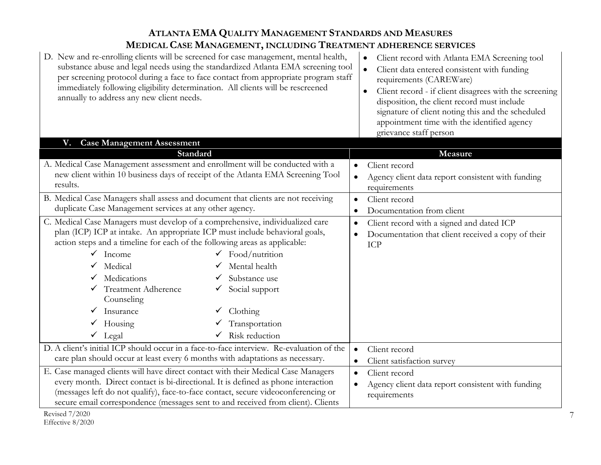| D. New and re-enrolling clients will be screened for case management, mental health,<br>substance abuse and legal needs using the standardized Atlanta EMA screening tool<br>per screening protocol during a face to face contact from appropriate program staff<br>immediately following eligibility determination. All clients will be rescreened<br>annually to address any new client needs.                              |                                                                                                                                              | Client record with Atlanta EMA Screening tool<br>$\bullet$<br>Client data entered consistent with funding<br>$\bullet$<br>requirements (CAREWare)<br>Client record - if client disagrees with the screening<br>$\bullet$<br>disposition, the client record must include<br>signature of client noting this and the scheduled<br>appointment time with the identified agency<br>grievance staff person |
|-------------------------------------------------------------------------------------------------------------------------------------------------------------------------------------------------------------------------------------------------------------------------------------------------------------------------------------------------------------------------------------------------------------------------------|----------------------------------------------------------------------------------------------------------------------------------------------|-------------------------------------------------------------------------------------------------------------------------------------------------------------------------------------------------------------------------------------------------------------------------------------------------------------------------------------------------------------------------------------------------------|
| <b>Case Management Assessment</b><br>V.                                                                                                                                                                                                                                                                                                                                                                                       |                                                                                                                                              |                                                                                                                                                                                                                                                                                                                                                                                                       |
| Standard                                                                                                                                                                                                                                                                                                                                                                                                                      |                                                                                                                                              | Measure                                                                                                                                                                                                                                                                                                                                                                                               |
| A. Medical Case Management assessment and enrollment will be conducted with a                                                                                                                                                                                                                                                                                                                                                 | $\bullet$                                                                                                                                    | Client record                                                                                                                                                                                                                                                                                                                                                                                         |
| new client within 10 business days of receipt of the Atlanta EMA Screening Tool                                                                                                                                                                                                                                                                                                                                               | $\bullet$                                                                                                                                    | Agency client data report consistent with funding                                                                                                                                                                                                                                                                                                                                                     |
| results.                                                                                                                                                                                                                                                                                                                                                                                                                      |                                                                                                                                              | requirements                                                                                                                                                                                                                                                                                                                                                                                          |
| B. Medical Case Managers shall assess and document that clients are not receiving<br>$\bullet$                                                                                                                                                                                                                                                                                                                                |                                                                                                                                              | Client record                                                                                                                                                                                                                                                                                                                                                                                         |
| duplicate Case Management services at any other agency.                                                                                                                                                                                                                                                                                                                                                                       | $\bullet$                                                                                                                                    | Documentation from client                                                                                                                                                                                                                                                                                                                                                                             |
| C. Medical Case Managers must develop of a comprehensive, individualized care<br>plan (ICP) ICP at intake. An appropriate ICP must include behavioral goals,<br>action steps and a timeline for each of the following areas as applicable:<br>Income<br>$\checkmark$<br>$\checkmark$<br>Medical<br>Medications<br><b>Treatment Adherence</b><br>✓<br>Counseling<br>Insurance<br>Housing<br>$\checkmark$<br>$\checkmark$ Legal | $\bullet$<br>$\bullet$<br>Food/nutrition<br>Mental health<br>Substance use<br>Social support<br>Clothing<br>Transportation<br>Risk reduction | Client record with a signed and dated ICP<br>Documentation that client received a copy of their<br>ICP                                                                                                                                                                                                                                                                                                |
| D. A client's initial ICP should occur in a face-to-face interview. Re-evaluation of the<br>care plan should occur at least every 6 months with adaptations as necessary.                                                                                                                                                                                                                                                     | $\bullet$                                                                                                                                    | Client record                                                                                                                                                                                                                                                                                                                                                                                         |
| E. Case managed clients will have direct contact with their Medical Case Managers                                                                                                                                                                                                                                                                                                                                             | $\bullet$                                                                                                                                    | Client satisfaction survey<br>Client record                                                                                                                                                                                                                                                                                                                                                           |
| $\bullet$<br>every month. Direct contact is bi-directional. It is defined as phone interaction                                                                                                                                                                                                                                                                                                                                |                                                                                                                                              |                                                                                                                                                                                                                                                                                                                                                                                                       |
| $\bullet$<br>(messages left do not qualify), face-to-face contact, secure videoconferencing or                                                                                                                                                                                                                                                                                                                                |                                                                                                                                              | Agency client data report consistent with funding<br>requirements                                                                                                                                                                                                                                                                                                                                     |
| secure email correspondence (messages sent to and received from client). Clients                                                                                                                                                                                                                                                                                                                                              |                                                                                                                                              |                                                                                                                                                                                                                                                                                                                                                                                                       |
| Revised 7/2020                                                                                                                                                                                                                                                                                                                                                                                                                |                                                                                                                                              |                                                                                                                                                                                                                                                                                                                                                                                                       |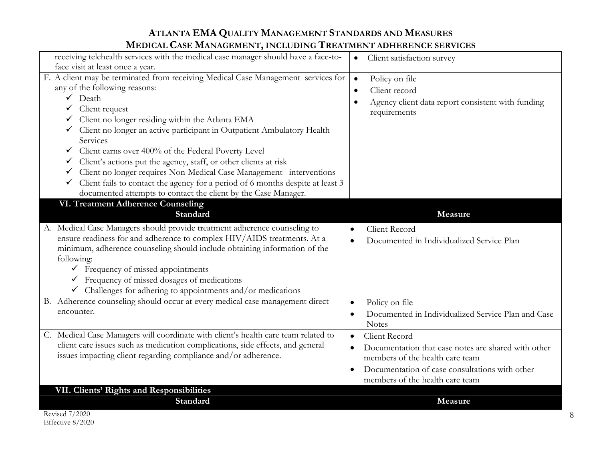| receiving telehealth services with the medical case manager should have a face-to-  | Client satisfaction survey<br>$\bullet$                          |
|-------------------------------------------------------------------------------------|------------------------------------------------------------------|
| face visit at least once a year.                                                    |                                                                  |
| F. A client may be terminated from receiving Medical Case Management services for   | Policy on file<br>$\bullet$                                      |
| any of the following reasons:                                                       | Client record<br>$\bullet$                                       |
| $\checkmark$ Death                                                                  | Agency client data report consistent with funding<br>$\bullet$   |
| $\checkmark$ Client request                                                         | requirements                                                     |
| Client no longer residing within the Atlanta EMA                                    |                                                                  |
| └ Client no longer an active participant in Outpatient Ambulatory Health            |                                                                  |
| Services                                                                            |                                                                  |
| Client earns over 400% of the Federal Poverty Level                                 |                                                                  |
| Client's actions put the agency, staff, or other clients at risk<br>✓               |                                                                  |
| Client no longer requires Non-Medical Case Management interventions                 |                                                                  |
| Client fails to contact the agency for a period of 6 months despite at least 3<br>✓ |                                                                  |
| documented attempts to contact the client by the Case Manager.                      |                                                                  |
| <b>VI. Treatment Adherence Counseling</b>                                           |                                                                  |
| Standard                                                                            | Measure                                                          |
| A. Medical Case Managers should provide treatment adherence counseling to           | Client Record                                                    |
| ensure readiness for and adherence to complex HIV/AIDS treatments. At a             | Documented in Individualized Service Plan<br>$\bullet$           |
| minimum, adherence counseling should include obtaining information of the           |                                                                  |
| following:                                                                          |                                                                  |
| $\checkmark$ Frequency of missed appointments                                       |                                                                  |
| $\checkmark$ Frequency of missed dosages of medications                             |                                                                  |
| $\checkmark$ Challenges for adhering to appointments and/or medications             |                                                                  |
| B. Adherence counseling should occur at every medical case management direct        | Policy on file<br>$\bullet$                                      |
| encounter.                                                                          | Documented in Individualized Service Plan and Case<br>$\bullet$  |
|                                                                                     | <b>Notes</b>                                                     |
| C. Medical Case Managers will coordinate with client's health care team related to  | Client Record<br>$\bullet$                                       |
| client care issues such as medication complications, side effects, and general      | Documentation that case notes are shared with other<br>$\bullet$ |
| issues impacting client regarding compliance and/or adherence.                      | members of the health care team                                  |
|                                                                                     | Documentation of case consultations with other                   |
|                                                                                     | members of the health care team                                  |
| VII. Clients' Rights and Responsibilities                                           |                                                                  |
| Standard                                                                            | Measure                                                          |
|                                                                                     |                                                                  |